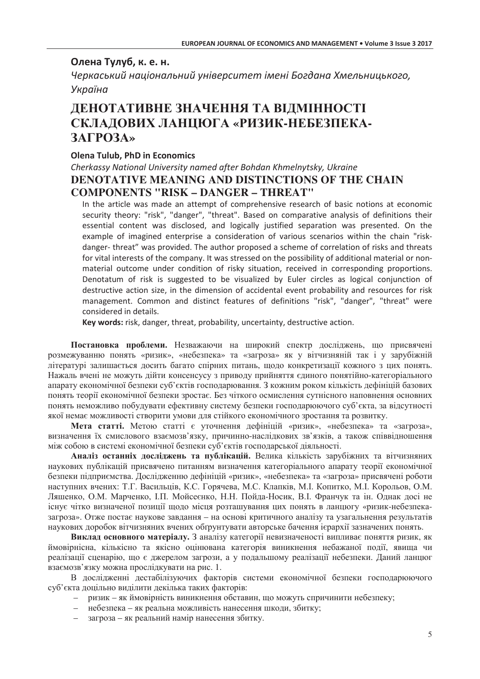## Олена Тулуб, к. е. н.

Черкаський національний університет імені Богдана Хмельницького, Україна

# ДЕНОТАТИВНЕ ЗНАЧЕННЯ ТА ВІДМІННОСТІ СКЛАДОВИХ ЛАНЦЮГА «РИЗИК-НЕБЕЗПЕКА-**ЗАГРОЗА»**

### **Olena Tulub, PhD in Economics**

## Cherkassy National University named after Bohdan Khmelnytsky, Ukraine **DENOTATIVE MEANING AND DISTINCTIONS OF THE CHAIN COMPONENTS "RISK - DANGER - THREAT"**

In the article was made an attempt of comprehensive research of basic notions at economic security theory: "risk", "danger", "threat". Based on comparative analysis of definitions their essential content was disclosed, and logically justified separation was presented. On the example of imagined enterprise a consideration of various scenarios within the chain "riskdanger-threat" was provided. The author proposed a scheme of correlation of risks and threats for vital interests of the company. It was stressed on the possibility of additional material or nonmaterial outcome under condition of risky situation, received in corresponding proportions. Denotatum of risk is suggested to be visualized by Euler circles as logical conjunction of destructive action size, in the dimension of accidental event probability and resources for risk management. Common and distinct features of definitions "risk". "danger". "threat" were considered in details.

Key words: risk, danger, threat, probability, uncertainty, destructive action.

Постановка проблеми. Незважаючи на широкий спектр досліджень, що присвячені розмежуванню понять «ризик», «небезпека» та «загроза» як у вітчизняній так і у зарубіжній літературі залишається досить багато спірних питань, щодо конкретизації кожного з цих понять. Нажаль вчені не можуть дійти консенсусу з приводу прийняття єдиного понятійно-категоріального апарату економічної безпеки суб'єктів господарювання. З кожним роком кількість дефініцій базових понять теорії економічної безпеки зростає. Без чіткого осмислення сутнісного наповнення основних понять неможливо побудувати ефективну систему безпеки господарюючого суб'єкта, за відсутності якої немає можливості створити умови для стійкого економічного зростання та розвитку.

Мета статті. Метою статті є уточнення дефініцій «ризик», «небезпека» та «загроза», визначення їх смислового взаємозв'язку, причинно-наслідкових зв'язків, а також співвідношення між собою в системі економічної безпеки суб'єктів госполарської ліяльності.

Аналіз останніх досліджень та публікацій. Велика кількість зарубіжних та вітчизняних наукових публікацій присвячено питанням визначення категоріального апарату теорії економічної безпеки підприємства. Дослідженню дефініцій «ризик», «небезпека» та «загроза» присвячені роботи наступних вчених: Т.Г. Васильців, К.С. Горячева, М.С. Клапків, М.І. Копитко, М.І. Корольов, О.М. Ляшенко, О.М. Марченко, І.П. Мойсеєнко, Н.Н. Пойда-Носик, В.І. Франчук та ін. Однак досі не існує чітко визначеної позиції щодо місця розташування цих понять в ланцюгу «ризик-небезпеказагроза». Отже постає наукове завдання – на основі критичного аналізу та узагальнення результатів наукових доробок вітчизняних вчених обгрунтувати авторське бачення ієрархії зазначених понять.

Виклад основного матеріалу. З аналізу категорії невизначеності випливає поняття ризик, як ймовірнісна, кількісно та якісно оцінювана категорія виникнення небажаної події, явища чи реалізації сценарію, що є джерелом загрози, а у подальшому реалізації небезпеки. Даний ланцюг взаємозв'язку можна прослідкувати на рис. 1.

В дослідженні дестабілізуючих факторів системи економічної безпеки господарюючого суб'єкта доцільно виділити декілька таких факторів:

- ризик як ймовірність виникнення обставин, що можуть спричинити небезпеку;
- небезпека як реальна можливість нанесення шкоди, збитку;
- загроза як реальний намір нанесення збитку.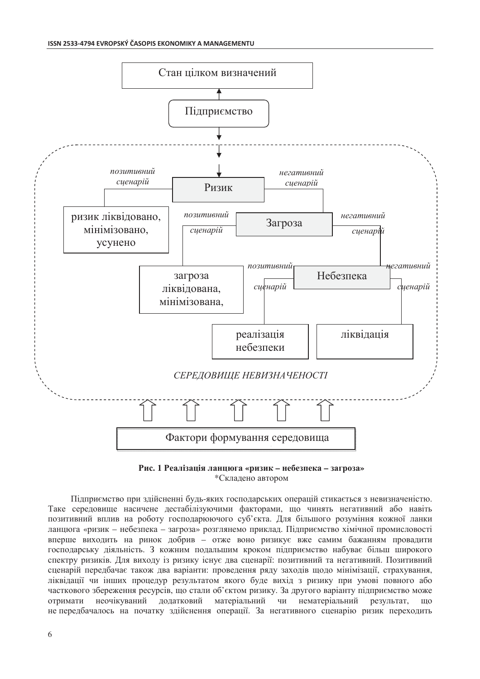

Рис. 1 Реалізація ланцюга «ризик - небезпека - загроза» \*Складено автором

Підприємство при здійсненні будь-яких господарських операцій стикається з невизначеністю. Таке середовище насичене дестабілізуючими факторами, що чинять негативний або навіть позитивний вплив на роботу господарюючого суб'єкта. Для більшого розуміння кожної ланки ланцюга «ризик - небезпека - загроза» розглянемо приклад. Підприємство хімічної промисловості вперше виходить на ринок добрив - отже воно ризикує вже самим бажанням провадити господарську діяльність. З кожним подальшим кроком підприємство набуває більш широкого спектру ризиків. Для виходу із ризику існує два сценарії: позитивний та негативний. Позитивний сценарій перелбачає також лва варіанти: провелення рялу захолів шоло мінімізації, страхування, ліквідації чи інших процедур результатом якого буде вихід з ризику при умові повного або часткового збереження ресурсів, що стали об'єктом ризику. За другого варіанту підприємство може отримати неочікуваний додатковий матеріальний чи нематеріальний результат,  $IIIO$ не передбачалось на початку здійснення операції. За негативного сценарію ризик переходить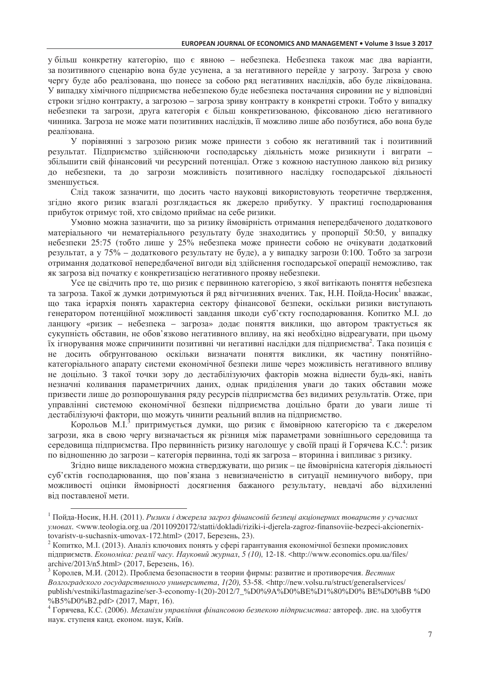у більш конкретну категорію, що є явною – небезпека. Небезпека також має два варіанти, за позитивного сценарію вона буде усунена, а за негативного перейде у загрозу. Загроза у свою чергу буде або реалізована, що понесе за собою ряд негативних наслідків, або буде ліквідована. У випадку хімічного підприємства небезпекою буде небезпека постачання сировини не у відповідні строки згідно контракту, а загрозою – загроза зриву контракту в конкретні строки. Тобто у випадку небезпеки та загрози, друга категорія є більш конкретизованою, фіксованою дією негативного чинника. Загроза не може мати позитивних наслідків, її можливо лише або позбутися, або вона буде реалізована.

У порівнянні з загрозою ризик може принести з собою як негативний так і позитивний результат. Підприємство здійснюючи господарську діяльність може ризикнути і виграти – збільшити свій фінансовий чи ресурсний потенціал. Отже з кожною наступною ланкою від ризику до небезпеки, та до загрози можливість позитивного наслідку господарської діяльності зменшується.

Слід також зазначити, що досить часто науковці використовують теоретичне твердження, згідно якого ризик взагалі розглядається як джерело прибутку. У практиці господарювання прибуток отримує той, хто свідомо приймає на себе ризики.

Умовно можна зазначити, що за ризику ймовірність отримання непередбаченого додаткового матеріального чи нематеріального результату буде знаходитись у пропорції 50:50, у випадку небезпеки 25:75 (тобто лише у 25% небезпека може принести собою не очікувати додатковий результат, а у 75% – додаткового результату не буде), а у випадку загрози 0:100. Тобто за загрози отримання додаткової непередбаченої вигоди від здійснення господарської операції неможливо, так як загроза від початку є конкретизацією негативного прояву небезпеки.

Усе це свідчить про те, що ризик є первинною категорією, з якої витікають поняття небезпека та загроза. Такої ж думки дотримуються й ряд вітчизняних вчених. Так, Н.Н. Пойда-Носик<sup>1</sup> вважає, що така ієрархія понять характерна сектору фінансової безпеки, оскільки ризики виступають генератором потенційної можливості завдання шкоди суб'єкту господарювання. Копитко М.І. до ланцюгу «ризик – небезпека – загроза» додає поняття виклики, що автором трактується як сукупність обставин, не обов'язково негативного впливу, на які необхідно відреагувати, при цьому їх ігнорування може спричинити позитивні чи негативні наслідки для підприємства<sup>2</sup>. Така позиція є не досить обгрунтованою оскільки визначати поняття виклики, як частину понятійнокатегоріального апарату системи економічної безпеки лише через можливість негативного впливу не доцільно. З такої точки зору до дестабілізуючих факторів можна віднести будь-які, навіть незначні коливання параметричних даних, однак приділення уваги до таких обставин може призвести лише до розпорошування ряду ресурсів підприємства без видимих результатів. Отже, при управлінні системою економічної безпеки підприємства доцільно брати до уваги лише ті дестабілізуючі фактори, що можуть чинити реальний вплив на підприємство.

Корольов М.І.<sup>3</sup> притримується думки, що ризик є ймовірною категорією та є джерелом загрози, яка в свою чергу визначається як різниця між параметрами зовнішнього середовища та середовища підприємства. Про первинність ризику наголошує у своїй праці й Горячева К.С.<sup>4</sup>: ризик по відношенню до загрози – категорія первинна, тоді як загроза – вторинна і випливає з ризику.

Згідно вище викладеного можна стверджувати, що ризик – це ймовірнісна категорія діяльності суб'єктів господарювання, що пов'язана з невизначеністю в ситуації неминучого вибору, при можливості оцінки ймовірності досягнення бажаного результату, невдачі або відхиленні від поставленої мети.

 $\overline{a}$ 

 $^1$ Пойда-Носик, Н.Н. (2011). Ризики і джерела загроз фінансовій безпеці акціонерних товариств у сучасних  $\mu$ <sub>wogax</sub>. <www.teologia.org.ua /20110920172/statti/dokladi/riziki-i-djerela-zagroz-finansoviie-bezpeci-akcionernixtovaristv-u-suchasnix-umovax-172.html> (2017, Березень, 23).

 $^2$  Копитко, М.І. (2013). Аналіз ключових понять у сфері гарантування економічної безпеки промислових підприємств. Економіка: реалії часу. Науковий журнал, 5 (10), 12-18. <http://www.economics.opu.ua/files/ archive/2013/n5.html> (2017, Березень, 16).

 $^3$  Королев, М.И. (2012). Проблема безопасности в теории фирмы: развитие и противоречия. *Вестник* Волгоградского государственного университета, 1(20), 53-58. <http://new.volsu.ru/struct/generalservices/ publish/vestniki/lastmagazine/ser-3-economy-1(20)-2012/7\_%D0%9A%D0%BE%D1%80%D0% BE%D0%BB %D0  $\%B5\%D0\%B2.pdf$  (2017, Mapr, 16).

 $^4$  Горячева, К.С. (2006). *Механізм управління фінансовою безпекою підприємства:* автореф. дис. на здобуття наук. ступеня канд. економ. наук, Київ.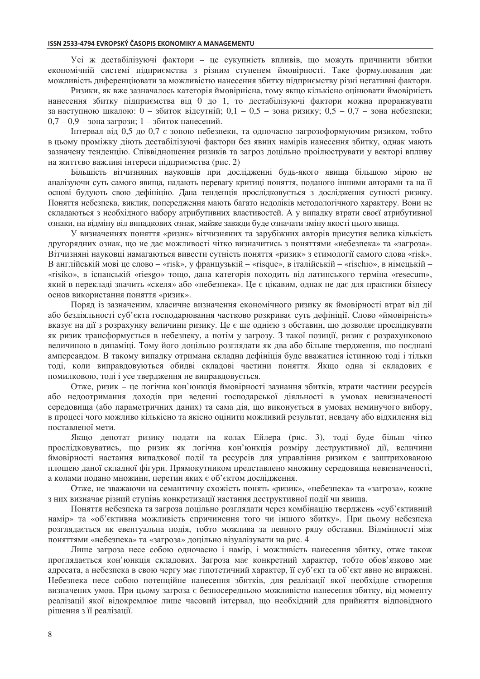Усі ж дестабілізуючі фактори - це сукупність впливів, що можуть причинити збитки економічній системі підприємства з різним ступенем ймовірності. Таке формулювання дає можливість диференціювати за можливістю нанесення збитку підприємству різні негативні фактори.

Ризики, як вже зазначалось категорія ймовірнісна, тому якщо кількісно оцінювати ймовірність нанесення збитку підприємства від 0 до 1, то дестабілізуючі фактори можна проранжувати за наступною шкалою: 0 – збиток вілеутній: 0.1 – 0.5 – зона ризику: 0.5 – 0.7 – зона небезпеки:  $0.7 - 0.9 -$ зона загрози: 1 - збиток нанесений.

Інтервал від 0,5 до 0,7 є зоною небезпеки, та одночасно загрозоформуючим ризиком, тобто в цьому проміжку діють дестабілізуючі фактори без явних намірів нанесення збитку, однак мають зазначену тенденцію. Співвідношення ризиків та загроз доцільно проілюєтрувати у векторі впливу на життєво важливі інтереси підприємства (рис. 2)

Більшість вітчизняних науковців при дослідженні будь-якого явища більшою мірою не аналізуючи суть самого явища, надають перевагу критиці поняття, поданого іншими авторами та на її основі будують свою дефініцію. Дана тенденція прослідковується з дослідження сутності ризику. Поняття небезпека, виклик, попередження мають багато недоліків методологічного характеру. Вони не складаються з необхідного набору атрибутивних властивостей. А у випадку втрати своєї атрибутивної ознаки, на відміну від випадкових ознак, майже завжди буде означати зміну якості цього явища.

У визначеннях поняття «ризик» вітчизняних та зарубіжних авторів присутня велика кількість другорядних ознак, що не дає можливості чітко визначитись з поняттями «небезпека» та «загроза». Вітчизняні науковці намагаються вивести сутність поняття «ризик» з етимології самого слова «risk». В англійській мові це слово – «risk», у французькій – «risque», в італійській – «rischio», в німецькій – «risiko», в іспанській «riesgo» тощо, дана категорія походить від латинського терміна «resecum», який в перекладі значить «скеля» або «небезпека». Це є цікавим, однак не дає для практики бізнесу основ використання поняття «ризик».

Поряд із зазначеним, класичне визначення економічного ризику як ймовірності втрат від дії або бездіяльності суб'єкта господарювання частково розкриває суть дефініції. Слово «ймовірність» вказує на дії з розрахунку величини ризику. Це є ще однією з обставин, що дозволяє прослідкувати як ризик трансформується в небезпеку, а потім у загрозу. З такої позиції, ризик є розрахунковою величиною в динаміці. Тому його доцільно розглядати як два або більше твердження, що поєднані амперсандом. В такому випадку отримана складна дефініція буде вважатися істинною тоді і тільки тоді, коли виправдовуються обидві складові частини поняття. Якщо одна зі складових є помилковою, тоді і усе твердження не виправдовується.

Отже, ризик - це логічна кон'юнкція ймовірності зазнання збитків, втрати частини ресурсів або недоотримання доходів при веденні господарської діяльності в умовах невизначеності середовища (або параметричних даних) та сама дія, що виконується в умовах неминучого вибору, в процесі чого можливо кількісно та якісно оцінити можливий результат, невдачу або відхилення від поставленої мети.

Якщо денотат ризику подати на колах Ейлера (рис. 3), тоді буде більш чітко прослідковуватись, що ризик як логічна кон'юнкція розміру деструктивної дії, величини ймовірності настання випадкової події та ресурсів для управління ризиком є заштрихованою площею даної складної фігури. Прямокутником представлено множину середовища невизначеності, а колами подано множини, перетин яких є об'єктом дослідження.

Отже, не зважаючи на семантичну схожість понять «ризик», «небезпека» та «загроза», кожне з них визначає різний ступінь конкретизації настання деструктивної події чи явища.

Поняття небезпека та загроза доцільно розглядати через комбінацію тверджень «суб'єктивний намір» та «об'єктивна можливість спричинення того чи іншого збитку». При цьому небезпека розглядається як евентуальна подія, тобто можлива за певного ряду обставин. Відмінності між поняттями «небезпека» та «загроза» доцільно візуалізувати на рис. 4

Лише загроза несе собою одночасно і намір, і можливість нанесення збитку, отже також проглядається кон'юнкція складових. Загроза має конкретний характер, тобто обов'язково має алресата, а небезпека в свою чергу має гіпотетичний характер, її суб'єкт та об'єкт явно не виражені. Небезпека несе собою потенційне нанесення збитків, для реалізації якої необхідне створення визначених умов. При пьому загроза є безпосерелньою можливістю нанесення збитку, віл моменту реалізації якої відокремлює лише часовий інтервал, що необхідний для прийняття відповідного рішення з її реалізації.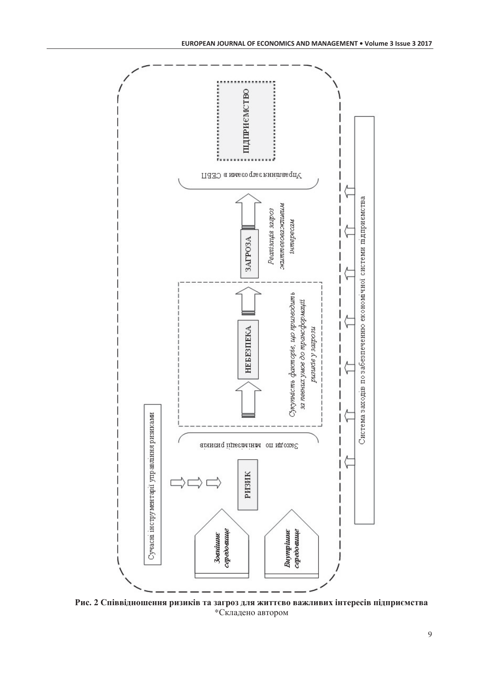

Рис. 2 Співвідношення ризиків та загроз для життєво важливих інтересів підприємства \*Складено автором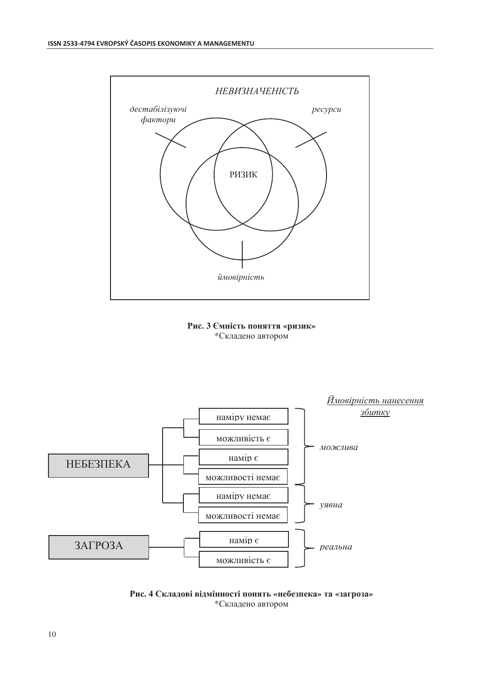

### Рис. 3 Ємність поняття «ризик» \*Складено автором



Рис. 4 Складові відмінності понять «небезпека» та «загроза» \*Складено автором